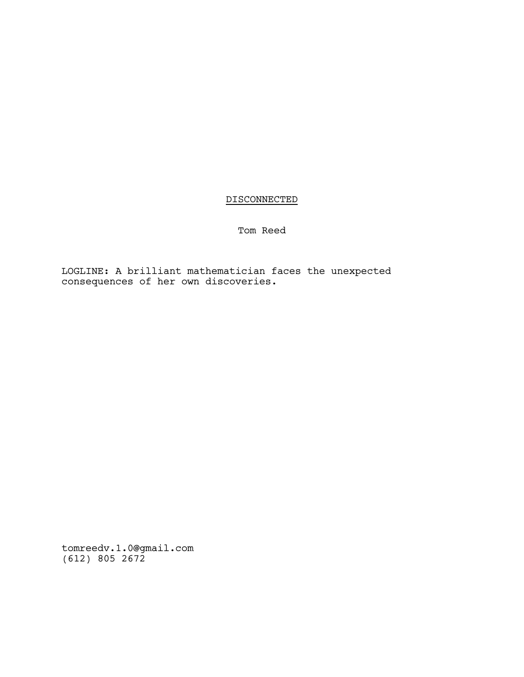# DISCONNECTED

Tom Reed

LOGLINE: A brilliant mathematician faces the unexpected consequences of her own discoveries.

tomreedv.1.0@gmail.com (612) 805 2672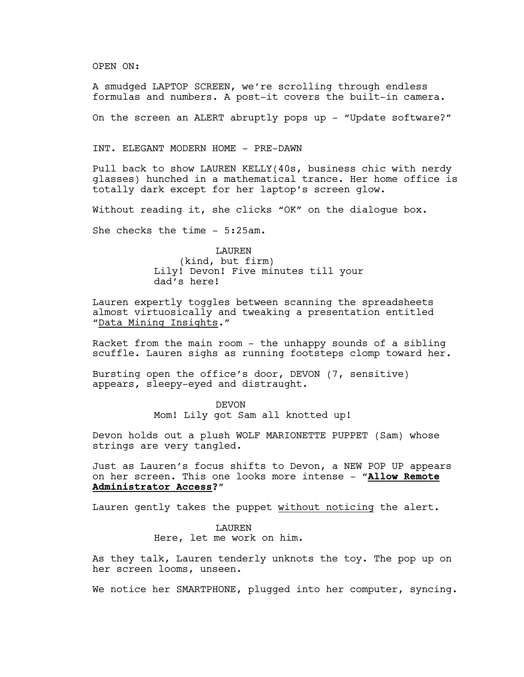OPEN ON:

A smudged LAPTOP SCREEN, we're scrolling through endless formulas and numbers. A post-it covers the built-in camera.

On the screen an ALERT abruptly pops up - "Update software?"

INT. ELEGANT MODERN HOME - PRE-DAWN

Pull back to show LAUREN KELLY(40s, business chic with nerdy glasses) hunched in a mathematical trance. Her home office is totally dark except for her laptop's screen glow.

Without reading it, she clicks "OK" on the dialogue box.

She checks the time - 5:25am.

LAUREN (kind, but firm) Lily! Devon! Five minutes till your dad's here!

Lauren expertly toggles between scanning the spreadsheets almost virtuosically and tweaking a presentation entitled "Data Mining Insights."

Racket from the main room - the unhappy sounds of a sibling scuffle. Lauren sighs as running footsteps clomp toward her.

Bursting open the office's door, DEVON (7, sensitive) appears, sleepy-eyed and distraught.

> DEVON Mom! Lily got Sam all knotted up!

Devon holds out a plush WOLF MARIONETTE PUPPET (Sam) whose strings are very tangled.

Just as Lauren's focus shifts to Devon, a NEW POP UP appears on her screen. This one looks more intense - "**Allow Remote Administrator Access?**"

Lauren gently takes the puppet without noticing the alert.

LAUREN Here, let me work on him.

As they talk, Lauren tenderly unknots the toy. The pop up on her screen looms, unseen.

We notice her SMARTPHONE, plugged into her computer, syncing.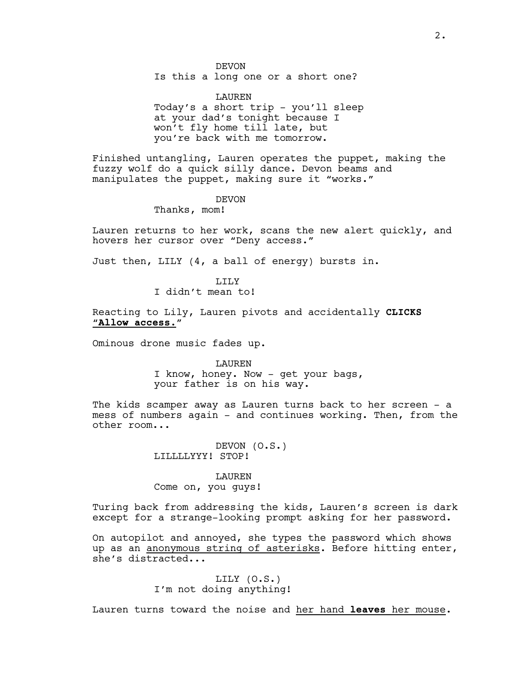DEVON

Is this a long one or a short one?

LAUREN Today's a short trip - you'll sleep at your dad's tonight because I won't fly home till late, but you're back with me tomorrow.

Finished untangling, Lauren operates the puppet, making the fuzzy wolf do a quick silly dance. Devon beams and manipulates the puppet, making sure it "works."

## DEVON

Thanks, mom!

Lauren returns to her work, scans the new alert quickly, and hovers her cursor over "Deny access."

Just then, LILY (4, a ball of energy) bursts in.

# LILY

I didn't mean to!

Reacting to Lily, Lauren pivots and accidentally **CLICKS** "**Allow access**."

Ominous drone music fades up.

LAUREN

I know, honey. Now - get your bags, your father is on his way.

The kids scamper away as Lauren turns back to her screen - a mess of numbers again - and continues working. Then, from the other room...

> DEVON (O.S.) LILLLLYYY! STOP!

#### LAUREN

Come on, you guys!

Turing back from addressing the kids, Lauren's screen is dark except for a strange-looking prompt asking for her password.

On autopilot and annoyed, she types the password which shows up as an anonymous string of asterisks. Before hitting enter, she's distracted...

> LILY (O.S.) I'm not doing anything!

Lauren turns toward the noise and her hand **leaves** her mouse.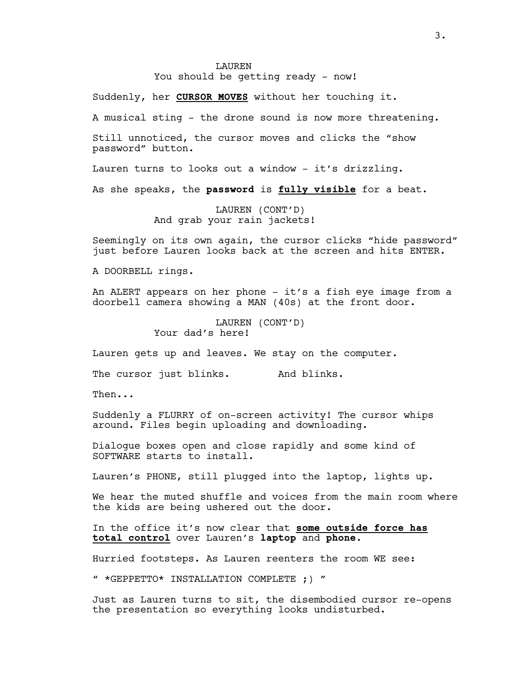#### **LAUREN**

You should be getting ready - now!

Suddenly, her **CURSOR MOVES** without her touching it.

A musical sting - the drone sound is now more threatening.

Still unnoticed, the cursor moves and clicks the "show password" button.

Lauren turns to looks out a window - it's drizzling.

As she speaks, the **password** is **fully visible** for a beat.

LAUREN (CONT'D) And grab your rain jackets!

Seemingly on its own again, the cursor clicks "hide password" just before Lauren looks back at the screen and hits ENTER.

A DOORBELL rings.

An ALERT appears on her phone - it's a fish eye image from a doorbell camera showing a MAN (40s) at the front door.

> LAUREN (CONT'D) Your dad's here!

Lauren gets up and leaves. We stay on the computer.

The cursor just blinks. And blinks.

Then...

Suddenly a FLURRY of on-screen activity! The cursor whips around. Files begin uploading and downloading.

Dialogue boxes open and close rapidly and some kind of SOFTWARE starts to install.

Lauren's PHONE, still plugged into the laptop, lights up.

We hear the muted shuffle and voices from the main room where the kids are being ushered out the door.

In the office it's now clear that **some outside force has total control** over Lauren's **laptop** and **phone**.

Hurried footsteps. As Lauren reenters the room WE see:

" \*GEPPETTO\* INSTALLATION COMPLETE ;) "

Just as Lauren turns to sit, the disembodied cursor re-opens the presentation so everything looks undisturbed.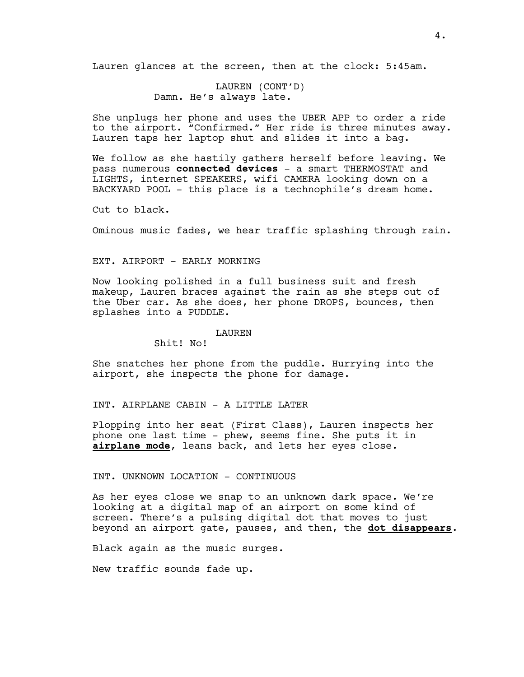Lauren glances at the screen, then at the clock: 5:45am.

LAUREN (CONT'D) Damn. He's always late.

She unplugs her phone and uses the UBER APP to order a ride to the airport. "Confirmed." Her ride is three minutes away. Lauren taps her laptop shut and slides it into a bag.

We follow as she hastily gathers herself before leaving. We pass numerous **connected devices** - a smart THERMOSTAT and LIGHTS, internet SPEAKERS, wifi CAMERA looking down on a BACKYARD POOL - this place is a technophile's dream home.

Cut to black.

Ominous music fades, we hear traffic splashing through rain.

## EXT. AIRPORT - EARLY MORNING

Now looking polished in a full business suit and fresh makeup, Lauren braces against the rain as she steps out of the Uber car. As she does, her phone DROPS, bounces, then splashes into a PUDDLE.

#### LAUREN

Shit! No!

She snatches her phone from the puddle. Hurrying into the airport, she inspects the phone for damage.

## INT. AIRPLANE CABIN - A LITTLE LATER

Plopping into her seat (First Class), Lauren inspects her phone one last time - phew, seems fine. She puts it in **airplane mode**, leans back, and lets her eyes close.

## INT. UNKNOWN LOCATION - CONTINUOUS

As her eyes close we snap to an unknown dark space. We're looking at a digital map of an airport on some kind of screen. There's a pulsing digital dot that moves to just beyond an airport gate, pauses, and then, the **dot disappears**.

Black again as the music surges.

New traffic sounds fade up.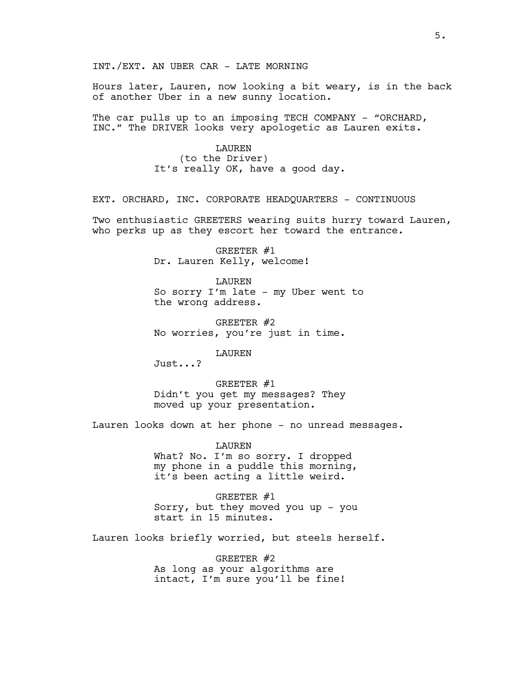INT./EXT. AN UBER CAR - LATE MORNING

Hours later, Lauren, now looking a bit weary, is in the back of another Uber in a new sunny location.

The car pulls up to an imposing TECH COMPANY - "ORCHARD, INC." The DRIVER looks very apologetic as Lauren exits.

> LAUREN (to the Driver) It's really OK, have a good day.

EXT. ORCHARD, INC. CORPORATE HEADQUARTERS - CONTINUOUS

Two enthusiastic GREETERS wearing suits hurry toward Lauren, who perks up as they escort her toward the entrance.

> GREETER #1 Dr. Lauren Kelly, welcome!

LAUREN So sorry I'm late - my Uber went to the wrong address.

GREETER #2 No worries, you're just in time.

LAUREN

Just...?

GREETER #1 Didn't you get my messages? They moved up your presentation.

Lauren looks down at her phone - no unread messages.

LAUREN What? No. I'm so sorry. I dropped my phone in a puddle this morning, it's been acting a little weird.

GREETER #1 Sorry, but they moved you up - you start in 15 minutes.

Lauren looks briefly worried, but steels herself.

GREETER #2 As long as your algorithms are intact, I'm sure you'll be fine!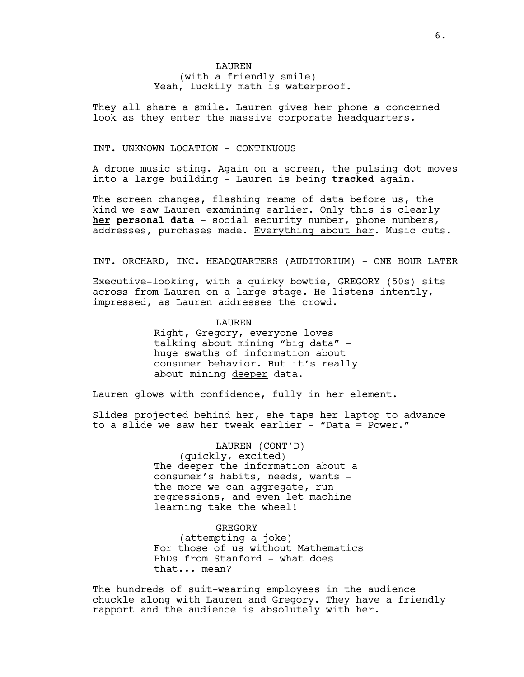**LAUREN** (with a friendly smile) Yeah, luckily math is waterproof.

They all share a smile. Lauren gives her phone a concerned look as they enter the massive corporate headquarters.

## INT. UNKNOWN LOCATION - CONTINUOUS

A drone music sting. Again on a screen, the pulsing dot moves into a large building - Lauren is being **tracked** again.

The screen changes, flashing reams of data before us, the kind we saw Lauren examining earlier. Only this is clearly **her personal data** - social security number, phone numbers, addresses, purchases made. Everything about her. Music cuts.

INT. ORCHARD, INC. HEADQUARTERS (AUDITORIUM) - ONE HOUR LATER

Executive-looking, with a quirky bowtie, GREGORY (50s) sits across from Lauren on a large stage. He listens intently, impressed, as Lauren addresses the crowd.

LAUREN

Right, Gregory, everyone loves talking about mining "big data" huge swaths of information about consumer behavior. But it's really about mining deeper data.

Lauren glows with confidence, fully in her element.

Slides projected behind her, she taps her laptop to advance to a slide we saw her tweak earlier - "Data = Power."

> LAUREN (CONT'D) (quickly, excited) The deeper the information about a consumer's habits, needs, wants the more we can aggregate, run regressions, and even let machine learning take the wheel!

GREGORY (attempting a joke) For those of us without Mathematics PhDs from Stanford - what does that... mean?

The hundreds of suit-wearing employees in the audience chuckle along with Lauren and Gregory. They have a friendly rapport and the audience is absolutely with her.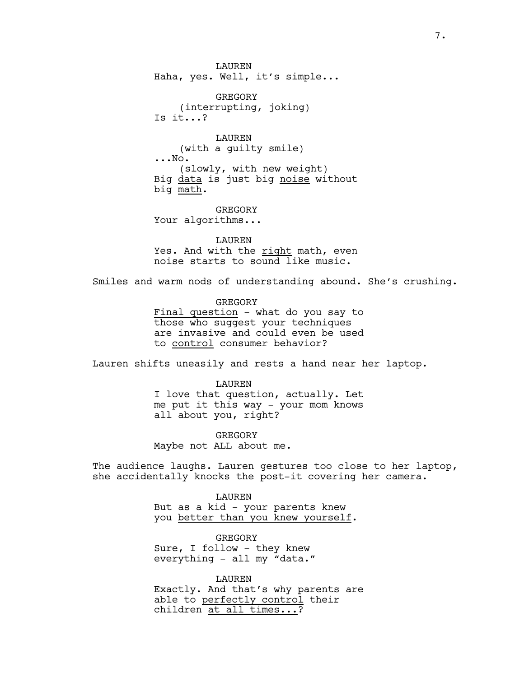**LAUREN** Haha, yes. Well, it's simple...

GREGORY (interrupting, joking) Is it...?

LAUREN (with a guilty smile) ...No. (slowly, with new weight) Big data is just big noise without big math.

GREGORY Your algorithms...

LAUREN Yes. And with the right math, even noise starts to sound like music.

Smiles and warm nods of understanding abound. She's crushing.

GREGORY Final question - what do you say to those who suggest your techniques are invasive and could even be used to control consumer behavior?

Lauren shifts uneasily and rests a hand near her laptop.

**LAUREN** I love that question, actually. Let me put it this way - your mom knows all about you, right?

**GREGORY** Maybe not ALL about me.

The audience laughs. Lauren gestures too close to her laptop, she accidentally knocks the post-it covering her camera.

> LAUREN But as a kid - your parents knew you better than you knew yourself.

GREGORY Sure, I follow - they knew everything - all my "data."

LAUREN Exactly. And that's why parents are able to perfectly control their children at all times...?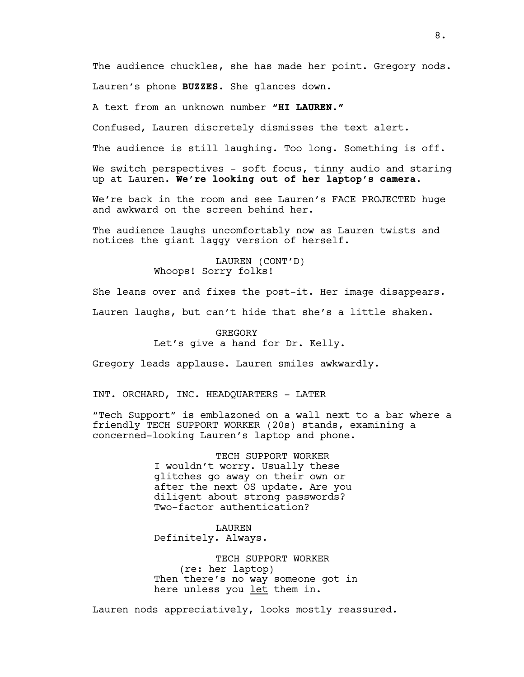The audience chuckles, she has made her point. Gregory nods. Lauren's phone **BUZZES**. She glances down.

A text from an unknown number **"HI LAUREN."**

Confused, Lauren discretely dismisses the text alert.

The audience is still laughing. Too long. Something is off.

We switch perspectives - soft focus, tinny audio and staring up at Lauren. **We're looking out of her laptop's camera**.

We're back in the room and see Lauren's FACE PROJECTED huge and awkward on the screen behind her.

The audience laughs uncomfortably now as Lauren twists and notices the giant laggy version of herself.

> LAUREN (CONT'D) Whoops! Sorry folks!

She leans over and fixes the post-it. Her image disappears.

Lauren laughs, but can't hide that she's a little shaken.

**GREGORY** Let's give a hand for Dr. Kelly.

Gregory leads applause. Lauren smiles awkwardly.

INT. ORCHARD, INC. HEADQUARTERS - LATER

"Tech Support" is emblazoned on a wall next to a bar where a friendly TECH SUPPORT WORKER (20s) stands, examining a concerned-looking Lauren's laptop and phone.

> TECH SUPPORT WORKER I wouldn't worry. Usually these glitches go away on their own or after the next OS update. Are you diligent about strong passwords? Two-factor authentication?

LAUREN Definitely. Always.

TECH SUPPORT WORKER (re: her laptop) Then there's no way someone got in here unless you let them in.

Lauren nods appreciatively, looks mostly reassured.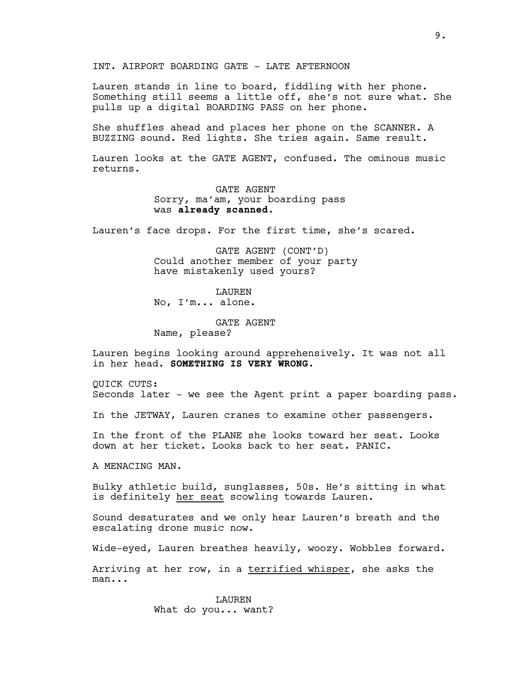INT. AIRPORT BOARDING GATE - LATE AFTERNOON

Lauren stands in line to board, fiddling with her phone. Something still seems a little off, she's not sure what. She pulls up a digital BOARDING PASS on her phone.

She shuffles ahead and places her phone on the SCANNER. A BUZZING sound. Red lights. She tries again. Same result.

Lauren looks at the GATE AGENT, confused. The ominous music returns.

> GATE AGENT Sorry, ma'am, your boarding pass was **already scanned**.

Lauren's face drops. For the first time, she's scared.

GATE AGENT (CONT'D) Could another member of your party have mistakenly used yours?

**LAUREN** No, I'm... alone.

GATE AGENT Name, please?

Lauren begins looking around apprehensively. It was not all in her head. **SOMETHING IS VERY WRONG**.

QUICK CUTS: Seconds later - we see the Agent print a paper boarding pass.

In the JETWAY, Lauren cranes to examine other passengers.

In the front of the PLANE she looks toward her seat. Looks down at her ticket. Looks back to her seat. PANIC.

A MENACING MAN.

Bulky athletic build, sunglasses, 50s. He's sitting in what is definitely her seat scowling towards Lauren.

Sound desaturates and we only hear Lauren's breath and the escalating drone music now.

Wide-eyed, Lauren breathes heavily, woozy. Wobbles forward.

Arriving at her row, in a terrified whisper, she asks the man...

> LAUREN What do you... want?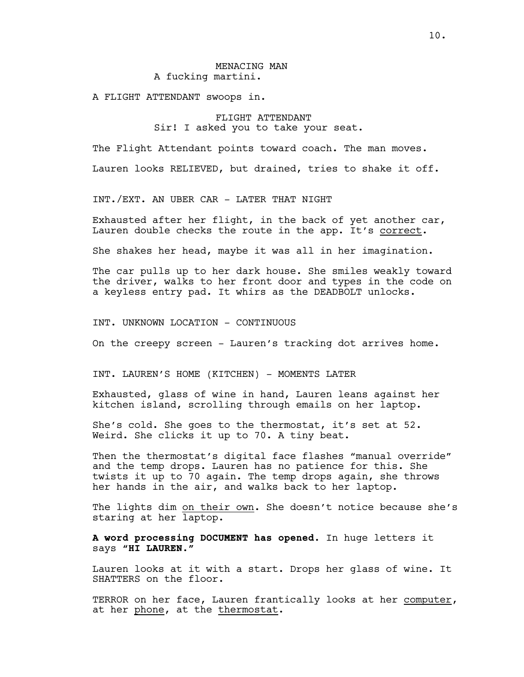## MENACING MAN A fucking martini.

A FLIGHT ATTENDANT swoops in.

# FLIGHT ATTENDANT Sir! I asked you to take your seat.

The Flight Attendant points toward coach. The man moves.

Lauren looks RELIEVED, but drained, tries to shake it off.

INT./EXT. AN UBER CAR - LATER THAT NIGHT

Exhausted after her flight, in the back of yet another car, Lauren double checks the route in the app. It's correct.

She shakes her head, maybe it was all in her imagination.

The car pulls up to her dark house. She smiles weakly toward the driver, walks to her front door and types in the code on a keyless entry pad. It whirs as the DEADBOLT unlocks.

INT. UNKNOWN LOCATION - CONTINUOUS

On the creepy screen - Lauren's tracking dot arrives home.

INT. LAUREN'S HOME (KITCHEN) - MOMENTS LATER

Exhausted, glass of wine in hand, Lauren leans against her kitchen island, scrolling through emails on her laptop.

She's cold. She goes to the thermostat, it's set at 52. Weird. She clicks it up to 70. A tiny beat.

Then the thermostat's digital face flashes "manual override" and the temp drops. Lauren has no patience for this. She twists it up to 70 again. The temp drops again, she throws her hands in the air, and walks back to her laptop.

The lights dim on their own. She doesn't notice because she's staring at her laptop.

**A word processing DOCUMENT has opened**. In huge letters it says **"HI LAUREN."**

Lauren looks at it with a start. Drops her glass of wine. It SHATTERS on the floor.

TERROR on her face, Lauren frantically looks at her computer, at her phone, at the thermostat.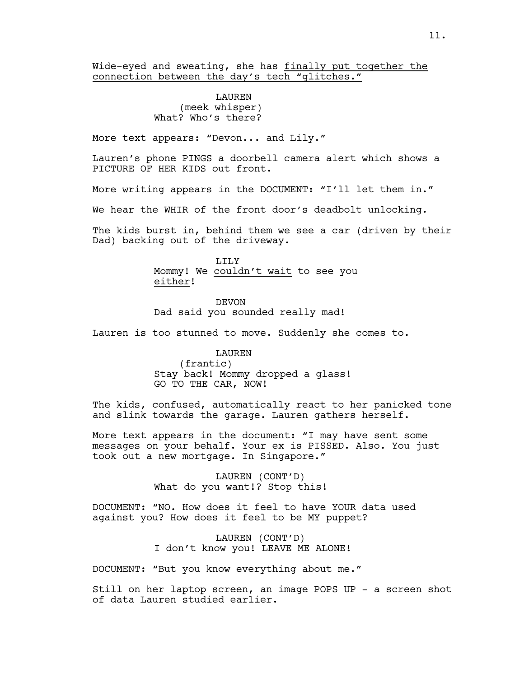Wide-eyed and sweating, she has finally put together the connection between the day's tech "glitches."

## LAUREN (meek whisper) What? Who's there?

More text appears: "Devon... and Lily."

Lauren's phone PINGS a doorbell camera alert which shows a PICTURE OF HER KIDS out front.

More writing appears in the DOCUMENT: "I'll let them in."

We hear the WHIR of the front door's deadbolt unlocking.

The kids burst in, behind them we see a car (driven by their Dad) backing out of the driveway.

> T.TT.Y Mommy! We couldn't wait to see you either!

DEVON Dad said you sounded really mad!

Lauren is too stunned to move. Suddenly she comes to.

LAUREN (frantic) Stay back! Mommy dropped a glass! GO TO THE CAR, NOW!

The kids, confused, automatically react to her panicked tone and slink towards the garage. Lauren gathers herself.

More text appears in the document: "I may have sent some messages on your behalf. Your ex is PISSED. Also. You just took out a new mortgage. In Singapore."

> LAUREN (CONT'D) What do you want!? Stop this!

DOCUMENT: "NO. How does it feel to have YOUR data used against you? How does it feel to be MY puppet?

> LAUREN (CONT'D) I don't know you! LEAVE ME ALONE!

DOCUMENT: "But you know everything about me."

Still on her laptop screen, an image POPS UP - a screen shot of data Lauren studied earlier.